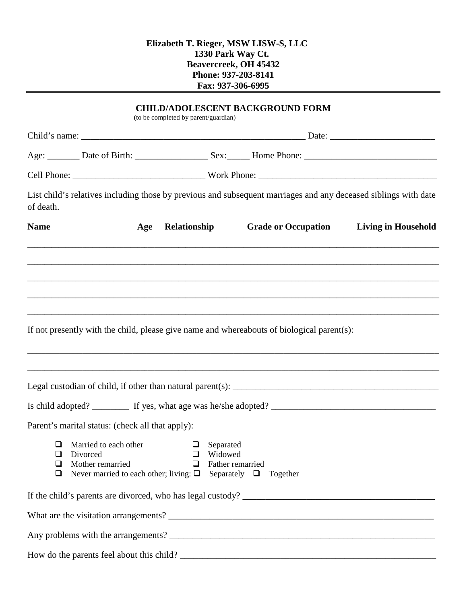|             |                                                                                                                                                                                         | (to be completed by parent/guardian) |                                           | <b>CHILD/ADOLESCENT BACKGROUND FORM</b> |                                                                                                                 |
|-------------|-----------------------------------------------------------------------------------------------------------------------------------------------------------------------------------------|--------------------------------------|-------------------------------------------|-----------------------------------------|-----------------------------------------------------------------------------------------------------------------|
|             |                                                                                                                                                                                         |                                      |                                           |                                         |                                                                                                                 |
|             |                                                                                                                                                                                         |                                      |                                           |                                         |                                                                                                                 |
|             |                                                                                                                                                                                         |                                      |                                           |                                         |                                                                                                                 |
| of death.   |                                                                                                                                                                                         |                                      |                                           |                                         | List child's relatives including those by previous and subsequent marriages and any deceased siblings with date |
| <b>Name</b> |                                                                                                                                                                                         | Age Relationship                     |                                           |                                         | Grade or Occupation Living in Household                                                                         |
|             |                                                                                                                                                                                         |                                      |                                           |                                         |                                                                                                                 |
|             |                                                                                                                                                                                         |                                      |                                           |                                         |                                                                                                                 |
|             | ,我们也不能在这里的时候,我们也不能在这里的时候,我们也不能会在这里的时候,我们也不能会在这里的时候,我们也不能会在这里的时候,我们也不能会在这里的时候,我们也<br>If not presently with the child, please give name and whereabouts of biological parent(s):          |                                      |                                           |                                         |                                                                                                                 |
|             |                                                                                                                                                                                         |                                      |                                           |                                         |                                                                                                                 |
|             |                                                                                                                                                                                         |                                      |                                           |                                         |                                                                                                                 |
|             |                                                                                                                                                                                         |                                      |                                           |                                         |                                                                                                                 |
|             | Parent's marital status: (check all that apply):                                                                                                                                        |                                      |                                           |                                         |                                                                                                                 |
| ⊔           | $\Box$ Married to each other $\Box$ Separated<br>Divorced<br>$\Box$ Mother remarried<br><b><math>\Box</math></b> Never married to each other; living: $\Box$ Separately $\Box$ Together |                                      | $\Box$ Widowed<br>$\Box$ Father remarried |                                         |                                                                                                                 |
|             |                                                                                                                                                                                         |                                      |                                           |                                         |                                                                                                                 |
|             |                                                                                                                                                                                         |                                      |                                           |                                         |                                                                                                                 |
|             |                                                                                                                                                                                         |                                      |                                           |                                         |                                                                                                                 |
|             | How do the parents feel about this child?                                                                                                                                               |                                      |                                           |                                         |                                                                                                                 |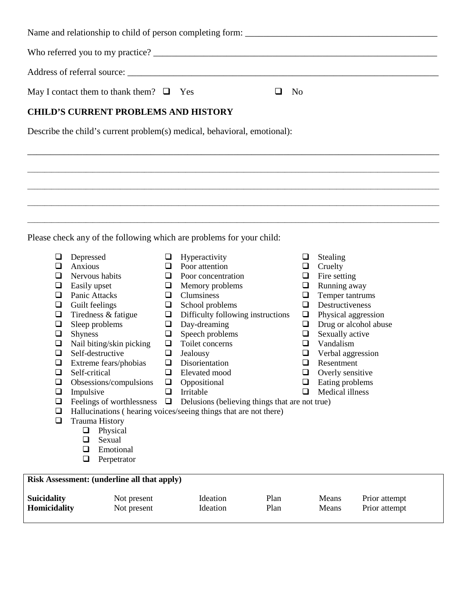|                                                                                                                                                                        | May I contact them to thank them? $\Box$ Yes                                                                                                                                                                                                                                                                                                                                                                                                                                                                                                 |                                                                                                                                      |                                                                                                                                                                                                                                                                                                                                    | ◻            | N <sub>o</sub>                                                                                                                      |                                                                                                                                                                                                                                               |                                |  |
|------------------------------------------------------------------------------------------------------------------------------------------------------------------------|----------------------------------------------------------------------------------------------------------------------------------------------------------------------------------------------------------------------------------------------------------------------------------------------------------------------------------------------------------------------------------------------------------------------------------------------------------------------------------------------------------------------------------------------|--------------------------------------------------------------------------------------------------------------------------------------|------------------------------------------------------------------------------------------------------------------------------------------------------------------------------------------------------------------------------------------------------------------------------------------------------------------------------------|--------------|-------------------------------------------------------------------------------------------------------------------------------------|-----------------------------------------------------------------------------------------------------------------------------------------------------------------------------------------------------------------------------------------------|--------------------------------|--|
|                                                                                                                                                                        | <b>CHILD'S CURRENT PROBLEMS AND HISTORY</b>                                                                                                                                                                                                                                                                                                                                                                                                                                                                                                  |                                                                                                                                      |                                                                                                                                                                                                                                                                                                                                    |              |                                                                                                                                     |                                                                                                                                                                                                                                               |                                |  |
|                                                                                                                                                                        | Describe the child's current problem(s) medical, behavioral, emotional):                                                                                                                                                                                                                                                                                                                                                                                                                                                                     |                                                                                                                                      |                                                                                                                                                                                                                                                                                                                                    |              |                                                                                                                                     |                                                                                                                                                                                                                                               |                                |  |
| $\Box$<br>❏<br>$\Box$<br>$\Box$<br>$\Box$<br>$\Box$<br>$\Box$<br>$\Box$<br>$\Box$<br>$\Box$<br>$\Box$<br>$\Box$<br>$\Box$<br>❏<br>$\Box$<br>$\Box$<br>$\Box$<br>$\Box$ | Please check any of the following which are problems for your child:<br>Depressed<br>Anxious<br>Nervous habits<br>Easily upset<br>Panic Attacks<br>Guilt feelings<br>Tiredness & fatigue<br>Sleep problems<br>Shyness<br>Nail biting/skin picking<br>Self-destructive<br>Extreme fears/phobias<br>Self-critical<br>Obsessions/compulsions<br>Impulsive<br>Feelings of worthlessness<br>Hallucinations (hearing voices/seeing things that are not there)<br><b>Trauma History</b><br>$\Box$<br>Physical<br>Sexual<br>❏<br>$\Box$<br>Emotional | Q.<br>$\Box$<br>$\Box$<br>$\Box$<br>□<br>$\Box$<br>$\Box$<br>$\Box$<br>$\Box$<br>$\Box$<br>$\Box$<br>$\Box$<br>❏<br>❏<br>❏<br>$\Box$ | Hyperactivity<br>Poor attention<br>Poor concentration<br>Memory problems<br>Clumsiness<br>School problems<br>Difficulty following instructions<br>Day-dreaming<br>Speech problems<br>Toilet concerns<br>Jealousy<br>Disorientation<br>Elevated mood<br>Oppositional<br>Irritable<br>Delusions (believing things that are not true) |              | ❏<br>$\Box$<br>$\Box$<br>$\Box$<br>$\Box$<br>$\Box$<br>$\Box$<br>$\Box$<br>$\Box$<br>$\Box$<br>$\Box$<br>$\Box$<br>$\Box$<br>⊔<br>❏ | Stealing<br>Cruelty<br>Fire setting<br>Running away<br>Temper tantrums<br>Destructiveness<br>Physical aggression<br>Sexually active<br>Vandalism<br>Verbal aggression<br>Resentment<br>Overly sensitive<br>Eating problems<br>Medical illness | Drug or alcohol abuse          |  |
|                                                                                                                                                                        | $\Box$<br>Perpetrator<br><b>Risk Assessment: (underline all that apply)</b>                                                                                                                                                                                                                                                                                                                                                                                                                                                                  |                                                                                                                                      |                                                                                                                                                                                                                                                                                                                                    |              |                                                                                                                                     |                                                                                                                                                                                                                                               |                                |  |
| <b>Suicidality</b><br>Homicidality                                                                                                                                     | Not present<br>Not present                                                                                                                                                                                                                                                                                                                                                                                                                                                                                                                   |                                                                                                                                      | Ideation<br>Ideation                                                                                                                                                                                                                                                                                                               | Plan<br>Plan |                                                                                                                                     | Means<br>Means                                                                                                                                                                                                                                | Prior attempt<br>Prior attempt |  |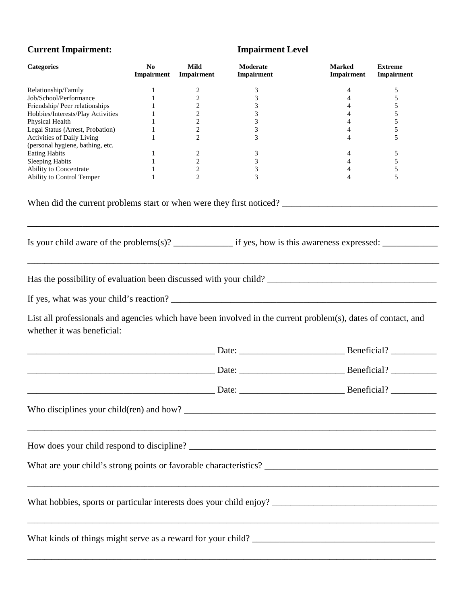# **Current Impairment:**

#### **Impairment Level**

| <b>Categories</b>                                                                                                                           | N <sub>0</sub><br>Impairment | Mild<br>Impairment  | Moderate<br>Impairment      | Marked<br>Impairment | <b>Extreme</b><br>Impairment |
|---------------------------------------------------------------------------------------------------------------------------------------------|------------------------------|---------------------|-----------------------------|----------------------|------------------------------|
| Relationship/Family                                                                                                                         | $\mathbf{1}$                 | 2                   | 3                           | 4                    | 5                            |
| Job/School/Performance                                                                                                                      | $\mathbf{1}$                 | 2                   | 3                           | 4                    | $\sqrt{5}$                   |
| Friendship/Peer relationships                                                                                                               | 1                            | $\mathbf{2}$        | $\ensuremath{\mathfrak{Z}}$ | 4                    | $\sqrt{5}$                   |
| Hobbies/Interests/Play Activities                                                                                                           | 1                            | $\overline{c}$      | 3                           | 4                    | 5                            |
| Physical Health                                                                                                                             | 1                            | 2                   | 3                           | 4                    | 5                            |
| Legal Status (Arrest, Probation)                                                                                                            | 1                            | 2<br>$\overline{2}$ | 3<br>3                      | 4<br>4               | 5<br>5                       |
| Activities of Daily Living<br>(personal hygiene, bathing, etc.                                                                              | 1                            |                     |                             |                      |                              |
| <b>Eating Habits</b>                                                                                                                        | 1                            | 2                   | 3                           | 4                    | 5                            |
| <b>Sleeping Habits</b>                                                                                                                      | $\mathbf{1}$                 | $\sqrt{2}$          | $\mathfrak{Z}$              | 4                    | 5                            |
| Ability to Concentrate                                                                                                                      | $\mathbf{1}$                 | $\sqrt{2}$          | 3                           | 4                    | $\sqrt{5}$                   |
| Ability to Control Temper                                                                                                                   | $\mathbf{1}$                 | 2                   | 3                           | 4                    | 5                            |
| When did the current problems start or when were they first noticed?                                                                        |                              |                     |                             |                      |                              |
|                                                                                                                                             |                              |                     |                             |                      |                              |
|                                                                                                                                             |                              |                     |                             |                      |                              |
|                                                                                                                                             |                              |                     |                             |                      |                              |
| List all professionals and agencies which have been involved in the current problem(s), dates of contact, and<br>whether it was beneficial: |                              |                     |                             |                      |                              |
| <u> 2000 - Jan James James Barnett, mensk politik (d. 1982)</u>                                                                             |                              |                     |                             |                      |                              |
|                                                                                                                                             |                              |                     |                             |                      |                              |
|                                                                                                                                             |                              |                     |                             |                      |                              |
|                                                                                                                                             |                              |                     |                             |                      |                              |
|                                                                                                                                             |                              |                     |                             |                      |                              |
|                                                                                                                                             |                              |                     |                             |                      |                              |
| ,我们也不能在这里的时候,我们也不能会在这里,我们也不能会不能会不能会不能会不能会不能会不能会。""我们的人们,我们也不能会不能会不能会不能会不能会不能会不能会                                                            |                              |                     |                             |                      |                              |
|                                                                                                                                             |                              |                     |                             |                      |                              |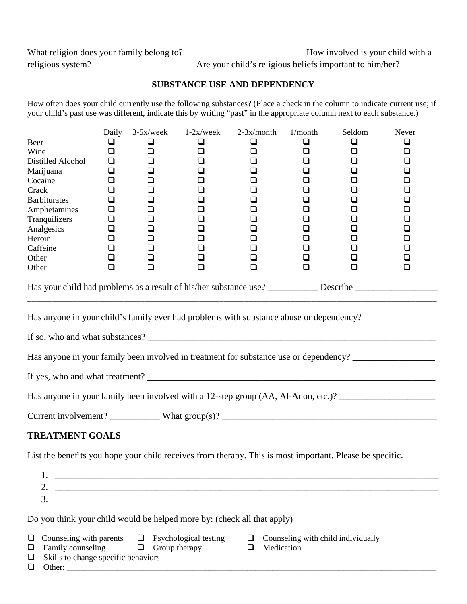| What religion does your family belong to? | How involved is your child with a                        |
|-------------------------------------------|----------------------------------------------------------|
| religious system?                         | Are your child's religious beliefs important to him/her? |

#### **SUBSTANCE USE AND DEPENDENCY**

How often does your child currently use the following substances? (Place a check in the column to indicate current use; if your child's past use was different, indicate this by writing "past" in the appropriate column next to each substance.)

| Beer<br>Wine<br>Distilled Alcohol<br>Marijuana<br>Cocaine<br>Crack<br><b>Barbiturates</b><br>Amphetamines<br>Tranquilizers<br>Analgesics<br>Heroin<br>Caffeine<br>Other<br>Other                                                                                                                                  | Daily<br>❏<br>$\Box$<br>$\Box$<br>$\Box$<br>❏<br>❏<br>$\Box$<br>$\Box$<br>$\Box$<br>$\Box$<br>$\Box$<br>$\Box$<br>❏<br>❏ | $3-5x/$ week<br>⊔<br>$\Box$<br>ப<br>⊔<br>ப<br>ப<br>ப<br>ப<br>⊔<br>⊔<br>□<br>❏<br>⊔<br>❏ | $1-2x/$ week<br>$\Box$<br>$\Box$<br>$\Box$<br>❏<br>$\Box$<br>$\Box$<br>$\Box$<br>$\Box$<br>❏<br>$\Box$<br>$\Box$<br>$\Box$<br>$\Box$<br>◻ | $2-3x/month$<br>⊔<br>$\Box$<br>❏<br>❏<br>⊔<br>⊔<br>⊔<br>❏<br>❏<br>❏<br>❏<br>❏<br>❏<br>◻ | 1/month<br>❏<br>❏<br>⊔<br>❏<br>⊔<br>❏<br>❏<br>⊔<br>❏<br>❏<br>❏<br>❏<br>❏<br>◻ | Seldom<br>❏<br>$\Box$<br>$\Box$<br>□<br>□<br>□<br>□<br>$\Box$<br>$\Box$<br>$\Box$<br>$\Box$<br>$\Box$<br>□<br>◻ | Never<br>❏<br>❏<br>❏<br>❏<br>⊔<br>❏<br>❏<br>❏<br>❏<br>❏<br>❏<br>❏<br>❏<br>❏ |
|-------------------------------------------------------------------------------------------------------------------------------------------------------------------------------------------------------------------------------------------------------------------------------------------------------------------|--------------------------------------------------------------------------------------------------------------------------|-----------------------------------------------------------------------------------------|-------------------------------------------------------------------------------------------------------------------------------------------|-----------------------------------------------------------------------------------------|-------------------------------------------------------------------------------|-----------------------------------------------------------------------------------------------------------------|-----------------------------------------------------------------------------|
| Has your child had problems as a result of his/her substance use? __________ Describe ______________                                                                                                                                                                                                              |                                                                                                                          |                                                                                         |                                                                                                                                           |                                                                                         |                                                                               |                                                                                                                 |                                                                             |
| Has anyone in your child's family ever had problems with substance abuse or dependency?<br>Has anyone in your family been involved in treatment for substance use or dependency? ______________<br>Has anyone in your family been involved with a 12-step group (AA, Al-Anon, etc.)? ____________________________ |                                                                                                                          |                                                                                         |                                                                                                                                           |                                                                                         |                                                                               |                                                                                                                 |                                                                             |
| <b>TREATMENT GOALS</b>                                                                                                                                                                                                                                                                                            |                                                                                                                          |                                                                                         |                                                                                                                                           |                                                                                         |                                                                               |                                                                                                                 |                                                                             |
| List the benefits you hope your child receives from therapy. This is most important. Please be specific.                                                                                                                                                                                                          |                                                                                                                          |                                                                                         |                                                                                                                                           |                                                                                         |                                                                               |                                                                                                                 |                                                                             |
| 3.                                                                                                                                                                                                                                                                                                                |                                                                                                                          |                                                                                         |                                                                                                                                           |                                                                                         |                                                                               |                                                                                                                 |                                                                             |
| Do you think your child would be helped more by: (check all that apply)                                                                                                                                                                                                                                           |                                                                                                                          |                                                                                         |                                                                                                                                           |                                                                                         |                                                                               |                                                                                                                 |                                                                             |
| $\Box$<br>Counseling with parents $\Box$ Psychological testing<br>Family counseling<br>$\Box$<br>Skills to change specific behaviors<br>$\Box$<br>Other:<br>$\Box$                                                                                                                                                |                                                                                                                          | $\Box$ Group therapy                                                                    |                                                                                                                                           | $\Box$<br>$\Box$                                                                        | Medication                                                                    | Counseling with child individually                                                                              |                                                                             |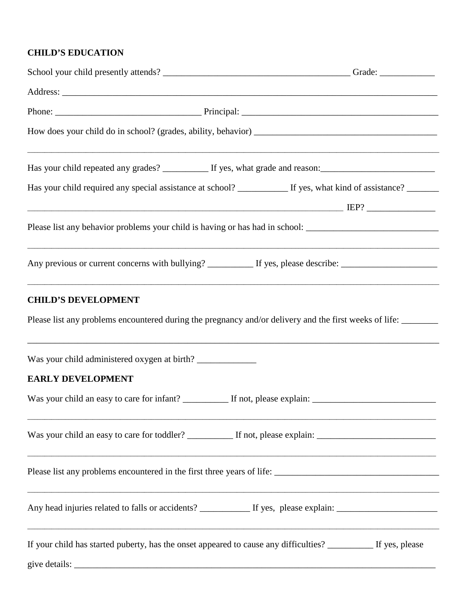### **CHILD'S EDUCATION**

| ,我们也不能会在这里,我们也不能会在这里,我们也不能会在这里,我们也不能会在这里,我们也不能会在这里,我们也不能会在这里,我们也不能会不能会不能会。""我们,我<br>Has your child repeated any grades? _____________ If yes, what grade and reason: _____________________________                                     |  |
|----------------------------------------------------------------------------------------------------------------------------------------------------------------------------------------------------------------------------------------|--|
| Has your child required any special assistance at school? __________ If yes, what kind of assistance? _______                                                                                                                          |  |
|                                                                                                                                                                                                                                        |  |
| Please list any behavior problems your child is having or has had in school: _________________________________                                                                                                                         |  |
| Any previous or current concerns with bullying? ___________ If yes, please describe: _________________________                                                                                                                         |  |
| <b>CHILD'S DEVELOPMENT</b>                                                                                                                                                                                                             |  |
| Please list any problems encountered during the pregnancy and/or delivery and the first weeks of life:                                                                                                                                 |  |
| Was your child administered oxygen at birth? ___________________________________                                                                                                                                                       |  |
| <b>EARLY DEVELOPMENT</b>                                                                                                                                                                                                               |  |
| Was your child an easy to care for infant? ___________ If not, please explain: _____________________                                                                                                                                   |  |
|                                                                                                                                                                                                                                        |  |
| <u> 1990 - Johann Stoff, deutscher Stoff, der Stoff, der Stoff, der Stoff, der Stoff, der Stoff, der Stoff, der S</u>                                                                                                                  |  |
|                                                                                                                                                                                                                                        |  |
| <u> 1990 - Johann Stoff, deutscher Stoff, der Stoff, der Stoff, der Stoff, der Stoff, der Stoff, der Stoff, der S</u><br>If your child has started puberty, has the onset appeared to cause any difficulties? _________ If yes, please |  |
|                                                                                                                                                                                                                                        |  |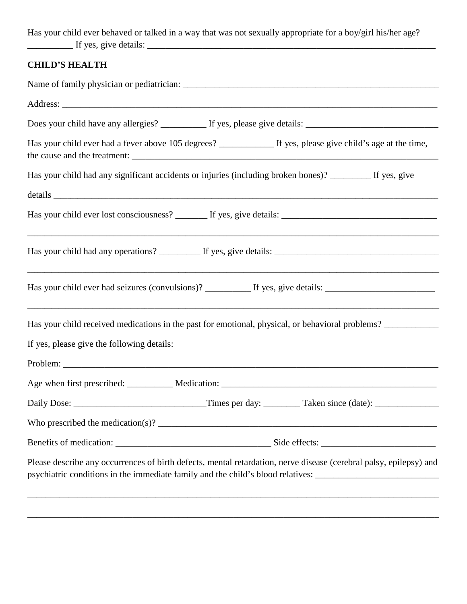Has your child ever behaved or talked in a way that was not sexually appropriate for a boy/girl his/her age? \_\_\_\_\_\_\_\_\_\_ If yes, give details: \_\_\_\_\_\_\_\_\_\_\_\_\_\_\_\_\_\_\_\_\_\_\_\_\_\_\_\_\_\_\_\_\_\_\_\_\_\_\_\_\_\_\_\_\_\_\_\_\_\_\_\_\_\_\_\_\_\_\_\_\_\_\_

## **CHILD'S HEALTH**

| Does your child have any allergies? ____________ If yes, please give details: ________________________________                                                                                                                       |
|--------------------------------------------------------------------------------------------------------------------------------------------------------------------------------------------------------------------------------------|
| Has your child ever had a fever above 105 degrees? ___________ If yes, please give child's age at the time,                                                                                                                          |
| Has your child had any significant accidents or injuries (including broken bones)? ________ If yes, give                                                                                                                             |
|                                                                                                                                                                                                                                      |
|                                                                                                                                                                                                                                      |
|                                                                                                                                                                                                                                      |
| Has your child ever had seizures (convulsions)? ____________ If yes, give details: ___________________________                                                                                                                       |
| Has your child received medications in the past for emotional, physical, or behavioral problems?                                                                                                                                     |
| If yes, please give the following details:                                                                                                                                                                                           |
|                                                                                                                                                                                                                                      |
|                                                                                                                                                                                                                                      |
|                                                                                                                                                                                                                                      |
|                                                                                                                                                                                                                                      |
|                                                                                                                                                                                                                                      |
| Please describe any occurrences of birth defects, mental retardation, nerve disease (cerebral palsy, epilepsy) and<br>psychiatric conditions in the immediate family and the child's blood relatives: ______________________________ |

\_\_\_\_\_\_\_\_\_\_\_\_\_\_\_\_\_\_\_\_\_\_\_\_\_\_\_\_\_\_\_\_\_\_\_\_\_\_\_\_\_\_\_\_\_\_\_\_\_\_\_\_\_\_\_\_\_\_\_\_\_\_\_\_\_\_\_\_\_\_\_\_\_\_\_\_\_\_\_\_\_\_\_\_\_\_\_\_\_\_

 $\_$  ,  $\_$  ,  $\_$  ,  $\_$  ,  $\_$  ,  $\_$  ,  $\_$  ,  $\_$  ,  $\_$  ,  $\_$  ,  $\_$  ,  $\_$  ,  $\_$  ,  $\_$  ,  $\_$  ,  $\_$  ,  $\_$  ,  $\_$  ,  $\_$  ,  $\_$  ,  $\_$  ,  $\_$  ,  $\_$  ,  $\_$  ,  $\_$  ,  $\_$  ,  $\_$  ,  $\_$  ,  $\_$  ,  $\_$  ,  $\_$  ,  $\_$  ,  $\_$  ,  $\_$  ,  $\_$  ,  $\_$  ,  $\_$  ,